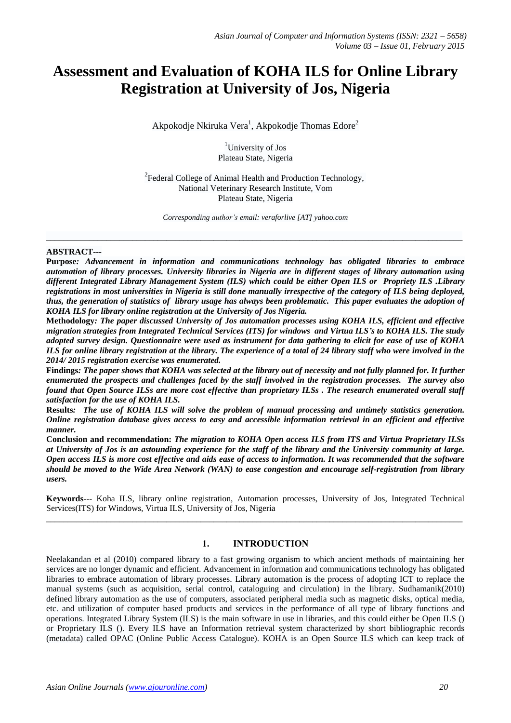# **Assessment and Evaluation of KOHA ILS for Online Library Registration at University of Jos, Nigeria**

Akpokodje Nkiruka Vera<sup>1</sup>, Akpokodje Thomas Edore<sup>2</sup>

<sup>1</sup>University of Jos Plateau State, Nigeria

 $2$ Federal College of Animal Health and Production Technology, National Veterinary Research Institute, Vom Plateau State, Nigeria

*Corresponding author's email: veraforlive [AT] yahoo.com*

\_\_\_\_\_\_\_\_\_\_\_\_\_\_\_\_\_\_\_\_\_\_\_\_\_\_\_\_\_\_\_\_\_\_\_\_\_\_\_\_\_\_\_\_\_\_\_\_\_\_\_\_\_\_\_\_\_\_\_\_\_\_\_\_\_\_\_\_\_\_\_\_\_\_\_\_\_\_\_\_\_\_\_\_\_\_\_\_\_\_\_\_\_\_\_\_\_

#### **ABSTRACT---**

**Purpose***: Advancement in information and communications technology has obligated libraries to embrace automation of library processes. University libraries in Nigeria are in different stages of library automation using different Integrated Library Management System (ILS) which could be either Open ILS or Propriety ILS .Library registrations in most universities in Nigeria is still done manually irrespective of the category of ILS being deployed, thus, the generation of statistics of library usage has always been problematic. This paper evaluates the adoption of KOHA ILS for library online registration at the University of Jos Nigeria.*

**Methodology***: The paper discussed University of Jos automation processes using KOHA ILS, efficient and effective migration strategies from Integrated Technical Services (ITS) for windows and Virtua ILS's to KOHA ILS. The study adopted survey design. Questionnaire were used as instrument for data gathering to elicit for ease of use of KOHA ILS for online library registration at the library. The experience of a total of 24 library staff who were involved in the 2014/ 2015 registration exercise was enumerated.*

**Findings***: The paper shows that KOHA was selected at the library out of necessity and not fully planned for. It further enumerated the prospects and challenges faced by the staff involved in the registration processes. The survey also found that Open Source ILSs are more cost effective than proprietary ILSs . The research enumerated overall staff satisfaction for the use of KOHA ILS.*

**Results***: The use of KOHA ILS will solve the problem of manual processing and untimely statistics generation. Online registration database gives access to easy and accessible information retrieval in an efficient and effective manner.*

**Conclusion and recommendation:** *The migration to KOHA Open access ILS from ITS and Virtua Proprietary ILSs at University of Jos is an astounding experience for the staff of the library and the University community at large. Open access ILS is more cost effective and aids ease of access to information. It was recommended that the software should be moved to the Wide Area Network (WAN) to ease congestion and encourage self-registration from library users.*

**Keywords---** Koha ILS, library online registration, Automation processes, University of Jos, Integrated Technical Services(ITS) for Windows, Virtua ILS, University of Jos, Nigeria \_\_\_\_\_\_\_\_\_\_\_\_\_\_\_\_\_\_\_\_\_\_\_\_\_\_\_\_\_\_\_\_\_\_\_\_\_\_\_\_\_\_\_\_\_\_\_\_\_\_\_\_\_\_\_\_\_\_\_\_\_\_\_\_\_\_\_\_\_\_\_\_\_\_\_\_\_\_\_\_\_\_\_\_\_\_\_\_\_\_\_\_\_\_\_\_\_

# **1. INTRODUCTION**

Neelakandan et al (2010) compared library to a fast growing organism to which ancient methods of maintaining her services are no longer dynamic and efficient. Advancement in information and communications technology has obligated libraries to embrace automation of library processes. Library automation is the process of adopting ICT to replace the manual systems (such as acquisition, serial control, cataloguing and circulation) in the library. Sudhamanik(2010) defined library automation as the use of computers, associated peripheral media such as magnetic disks, optical media, etc. and utilization of computer based products and services in the performance of all type of library functions and operations. Integrated Library System (ILS) is the main software in use in libraries, and this could either be Open ILS () or Proprietary ILS (). Every ILS have an Information retrieval system characterized by short bibliographic records (metadata) called OPAC (Online Public Access Catalogue). KOHA is an Open Source ILS which can keep track of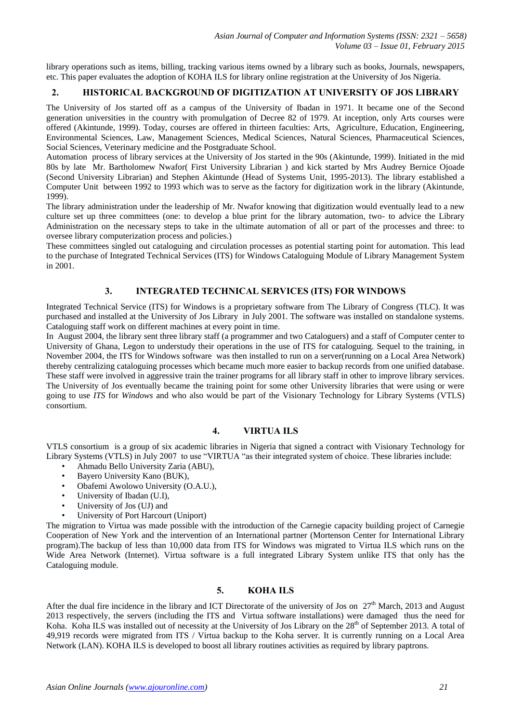library operations such as items, billing, tracking various items owned by a library such as books, Journals, newspapers, etc. This paper evaluates the adoption of KOHA ILS for library online registration at the University of Jos Nigeria.

# **2. HISTORICAL BACKGROUND OF DIGITIZATION AT UNIVERSITY OF JOS LIBRARY**

The University of Jos started off as a campus of the University of Ibadan in 1971. It became one of the Second generation universities in the country with promulgation of Decree 82 of 1979. At inception, only Arts courses were offered (Akintunde, 1999). Today, courses are offered in thirteen faculties: Arts, Agriculture, Education, Engineering, Environmental Sciences, Law, Management Sciences, Medical Sciences, Natural Sciences, Pharmaceutical Sciences, Social Sciences, Veterinary medicine and the Postgraduate School.

Automation process of library services at the University of Jos started in the 90s (Akintunde, 1999). Initiated in the mid 80s by late Mr. Bartholomew Nwafor( First University Librarian ) and kick started by Mrs Audrey Bernice Ojoade (Second University Librarian) and Stephen Akintunde (Head of Systems Unit, 1995-2013). The library established a Computer Unit between 1992 to 1993 which was to serve as the factory for digitization work in the library (Akintunde, 1999).

The library administration under the leadership of Mr. Nwafor knowing that digitization would eventually lead to a new culture set up three committees (one: to develop a blue print for the library automation, two- to advice the Library Administration on the necessary steps to take in the ultimate automation of all or part of the processes and three: to oversee library computerization process and policies.)

These committees singled out cataloguing and circulation processes as potential starting point for automation. This lead to the purchase of Integrated Technical Services (ITS) for Windows Cataloguing Module of Library Management System in 2001.

# **3. INTEGRATED TECHNICAL SERVICES (ITS) FOR WINDOWS**

Integrated Technical Service (ITS) for Windows is a proprietary software from The Library of Congress (TLC). It was purchased and installed at the University of Jos Library in July 2001. The software was installed on standalone systems. Cataloguing staff work on different machines at every point in time.

In August 2004, the library sent three library staff (a programmer and two Cataloguers) and a staff of Computer center to University of Ghana, Legon to understudy their operations in the use of ITS for cataloguing. Sequel to the training, in November 2004, the ITS for Windows software was then installed to run on a server(running on a Local Area Network) thereby centralizing cataloguing processes which became much more easier to backup records from one unified database. These staff were involved in aggressive train the trainer programs for all library staff in other to improve library services. The University of Jos eventually became the training point for some other University libraries that were using or were going to use *ITS* for *Windows* and who also would be part of the Visionary Technology for Library Systems (VTLS) consortium.

# **4. VIRTUA ILS**

VTLS consortium is a group of six academic libraries in Nigeria that signed a contract with Visionary Technology for Library Systems (VTLS) in July 2007 to use "VIRTUA "as their integrated system of choice. These libraries include:

- Ahmadu Bello University Zaria (ABU),
- Bayero University Kano (BUK),
- Obafemi Awolowo University (O.A.U.),
- University of Ibadan (U.I),
- University of Jos (UJ) and
- University of Port Harcourt (Uniport)

The migration to Virtua was made possible with the introduction of the Carnegie capacity building project of Carnegie Cooperation of New York and the intervention of an International partner (Mortenson Center for International Library program).The backup of less than 10,000 data from ITS for Windows was migrated to Virtua ILS which runs on the Wide Area Network (Internet). Virtua software is a full integrated Library System unlike ITS that only has the Cataloguing module.

## **5. KOHA ILS**

After the dual fire incidence in the library and ICT Directorate of the university of Jos on 27<sup>th</sup> March, 2013 and August 2013 respectively, the servers (including the ITS and Virtua software installations) were damaged thus the need for Koha. Koha ILS was installed out of necessity at the University of Jos Library on the  $28<sup>th</sup>$  of September 2013. A total of 49,919 records were migrated from ITS / Virtua backup to the Koha server. It is currently running on a Local Area Network (LAN). KOHA ILS is developed to boost all library routines activities as required by library paptrons.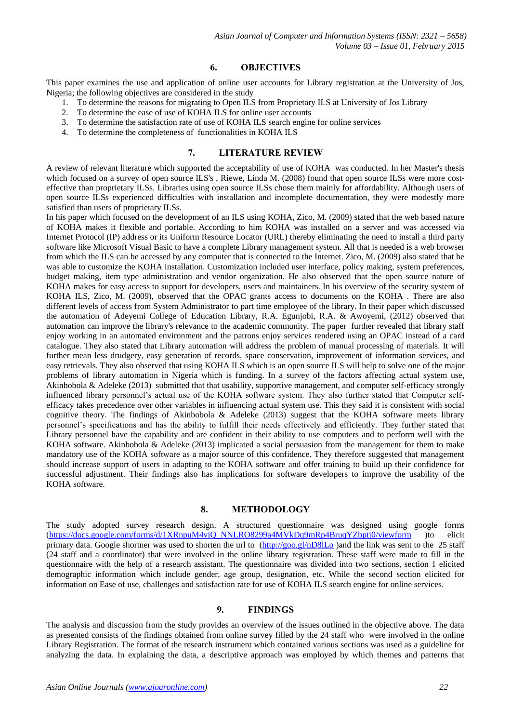## **6. OBJECTIVES**

This paper examines the use and application of online user accounts for Library registration at the University of Jos, Nigeria; the following objectives are considered in the study

- 1. To determine the reasons for migrating to Open ILS from Proprietary ILS at University of Jos Library
- 2. To determine the ease of use of KOHA ILS for online user accounts
- 3. To determine the satisfaction rate of use of KOHA ILS search engine for online services
- 4. To determine the completeness of functionalities in KOHA ILS

#### **7. LITERATURE REVIEW**

A review of relevant literature which supported the acceptability of use of KOHA was conducted. In her Master's thesis which focused on a survey of open source ILS's, Riewe, Linda M. (2008) found that open source ILSs were more costeffective than proprietary ILSs. Libraries using open source ILSs chose them mainly for affordability. Although users of open source ILSs experienced difficulties with installation and incomplete documentation, they were modestly more satisfied than users of proprietary ILSs.

In his paper which focused on the development of an ILS using KOHA, Zico, M. (2009) stated that the web based nature of KOHA makes it flexible and portable. According to him KOHA was installed on a server and was accessed via Internet Protocol (IP) address or its Uniform Resource Locator (URL) thereby eliminating the need to install a third party software like Microsoft Visual Basic to have a complete Library management system. All that is needed is a web browser from which the ILS can be accessed by any computer that is connected to the Internet. Zico, M. (2009) also stated that he was able to customize the KOHA installation. Customization included user interface, policy making, system preferences, budget making, item type administration and vendor organization. He also observed that the open source nature of KOHA makes for easy access to support for developers, users and maintainers. In his overview of the security system of KOHA ILS, Zico, M. (2009), observed that the OPAC grants access to documents on the KOHA . There are also different levels of access from System Administrator to part time employee of the library. In their paper which discussed the automation of Adeyemi College of Education Library, R.A. Egunjobi, R.A. & Awoyemi, (2012) observed that automation can improve the library's relevance to the academic community. The paper further revealed that library staff enjoy working in an automated environment and the patrons enjoy services rendered using an OPAC instead of a card catalogue. They also stated that Library automation will address the problem of manual processing of materials. It will further mean less drudgery, easy generation of records, space conservation, improvement of information services, and easy retrievals. They also observed that using KOHA ILS which is an open source ILS will help to solve one of the major problems of library automation in Nigeria which is funding. In a survey of the factors affecting actual system use, Akinbobola & Adeleke (2013) submitted that that usability, supportive management, and computer self-efficacy strongly influenced library personnel's actual use of the KOHA software system. They also further stated that Computer selfefficacy takes precedence over other variables in influencing actual system use. This they said it is consistent with social cognitive theory. The findings of Akinbobola & Adeleke (2013) suggest that the KOHA software meets library personnel's specifications and has the ability to fulfill their needs effectively and efficiently. They further stated that Library personnel have the capability and are confident in their ability to use computers and to perform well with the KOHA software. Akinbobola & Adeleke (2013) implicated a social persuasion from the management for them to make mandatory use of the KOHA software as a major source of this confidence. They therefore suggested that management should increase support of users in adapting to the KOHA software and offer training to build up their confidence for successful adjustment. Their findings also has implications for software developers to improve the usability of the KOHA software.

# **8. METHODOLOGY**

The study adopted survey research design. A structured questionnaire was designed using google forms [\(https://docs.google.com/forms/d/1XRnpuM4viQ\\_NNLRO8299a4MVkDq9mRp4BruqYZbptj0/viewform](https://docs.google.com/forms/d/1XRnpuM4viQ_NNLRO8299a4MVkDq9mRp4BruqYZbptj0/viewform) )to elicit primary data. Google shortner was used to shorten the url to [\(http://goo.gl/nD8lLo](http://goo.gl/nD8lLo) )and the link was sent to the 25 staff (24 staff and a coordinator) that were involved in the online library registration. These staff were made to fill in the questionnaire with the help of a research assistant. The questionnaire was divided into two sections, section 1 elicited demographic information which include gender, age group, designation, etc. While the second section elicited for information on Ease of use, challenges and satisfaction rate for use of KOHA ILS search engine for online services.

#### **9. FINDINGS**

The analysis and discussion from the study provides an overview of the issues outlined in the objective above. The data as presented consists of the findings obtained from online survey filled by the 24 staff who were involved in the online Library Registration. The format of the research instrument which contained various sections was used as a guideline for analyzing the data. In explaining the data, a descriptive approach was employed by which themes and patterns that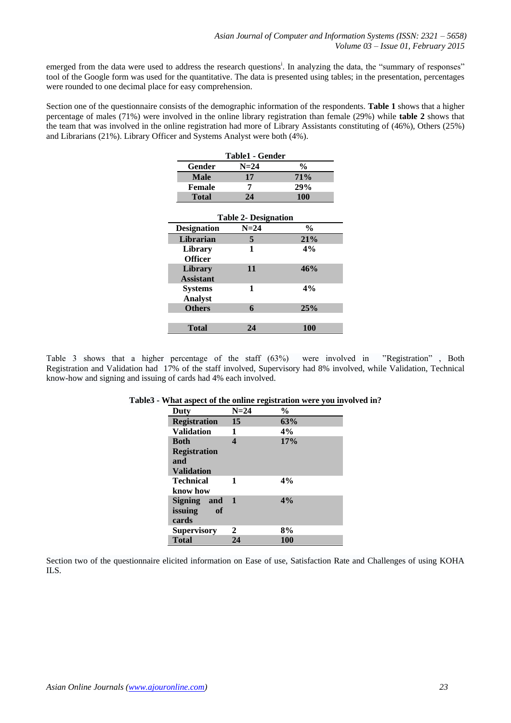emerged from the data were used to address the research questions<sup>i</sup>. In analyzing the data, the "summary of responses" tool of the Google form was used for the quantitative. The data is presented using tables; in the presentation, percentages were rounded to one decimal place for easy comprehension.

Section one of the questionnaire consists of the demographic information of the respondents. **Table 1** shows that a higher percentage of males (71%) were involved in the online library registration than female (29%) while **table 2** shows that the team that was involved in the online registration had more of Library Assistants constituting of (46%), Others (25%) and Librarians (21%). Library Officer and Systems Analyst were both (4%).

| Table1 - Gender             |        |               |  |
|-----------------------------|--------|---------------|--|
| Gender                      | $N=24$ | $\frac{0}{0}$ |  |
| <b>Male</b>                 | 17     | <b>71%</b>    |  |
| <b>Female</b>               | 7      | 29%           |  |
| <b>Total</b>                | 24     | 100           |  |
| <b>Table 2- Designation</b> |        |               |  |
| <b>Designation</b>          | $N=24$ | $\frac{0}{0}$ |  |
| Librarian                   | 5      | 21%           |  |
| Library                     | 1      | 4%            |  |
| <b>Officer</b>              |        |               |  |
| <b>Library</b>              | 11     | 46%           |  |
| <b>Assistant</b>            |        |               |  |
| <b>Systems</b>              | 1      | 4%            |  |
| <b>Analyst</b>              |        |               |  |
| <b>Others</b>               | 6      | 25%           |  |
|                             |        |               |  |
| <b>Total</b>                | 24     | 100           |  |

Table 3 shows that a higher percentage of the staff (63%) were involved in "Registration" , Both Registration and Validation had 17% of the staff involved, Supervisory had 8% involved, while Validation, Technical know-how and signing and issuing of cards had 4% each involved.

| Duty                | $N=24$ | $\frac{0}{0}$ |
|---------------------|--------|---------------|
| <b>Registration</b> | 15     | 63%           |
| <b>Validation</b>   | 1      | 4%            |
| <b>Both</b>         | 4      | 17%           |
| <b>Registration</b> |        |               |
| and                 |        |               |
| <b>Validation</b>   |        |               |
| <b>Technical</b>    | 1      | 4%            |
| know how            |        |               |
| Signing and         | 1      | 4%            |
| issuing<br>of       |        |               |
| cards               |        |               |
| <b>Supervisory</b>  | 2      | 8%            |
| <b>Total</b>        | 24     | 100           |

#### **Table3 - What aspect of the online registration were you involved in?**

Section two of the questionnaire elicited information on Ease of use, Satisfaction Rate and Challenges of using KOHA ILS.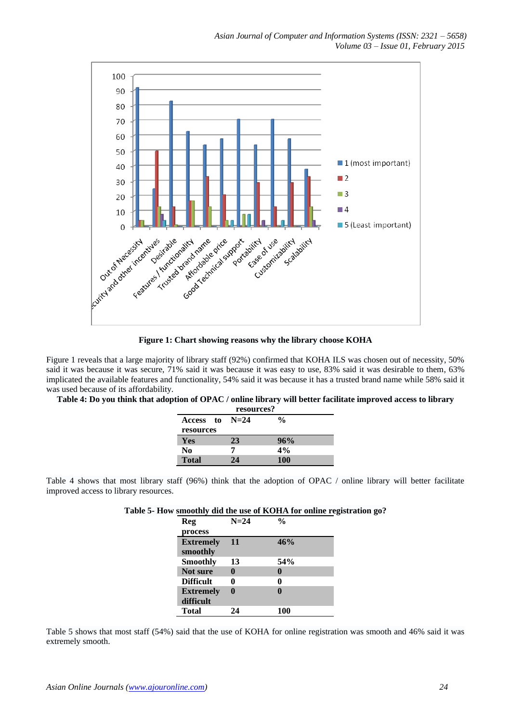

**Figure 1: Chart showing reasons why the library choose KOHA**

Figure 1 reveals that a large majority of library staff (92%) confirmed that KOHA ILS was chosen out of necessity, 50% said it was because it was secure, 71% said it was because it was easy to use, 83% said it was desirable to them, 63% implicated the available features and functionality, 54% said it was because it has a trusted brand name while 58% said it was used because of its affordability.

**Table 4: Do you think that adoption of OPAC / online library will better facilitate improved access to library** 

| resources?   |        |            |  |
|--------------|--------|------------|--|
| Access to    | $N=24$ | %          |  |
| resources    |        |            |  |
| Yes          | 23     | 96%        |  |
| No           | 7      | 4%         |  |
| <b>Total</b> | 24     | <b>100</b> |  |

Table 4 shows that most library staff (96%) think that the adoption of OPAC / online library will better facilitate improved access to library resources.

| Table 5- How smoothly did the use of KOHA for online registration go? |  |  |  |  |  |  |  |  |
|-----------------------------------------------------------------------|--|--|--|--|--|--|--|--|
|-----------------------------------------------------------------------|--|--|--|--|--|--|--|--|

| <b>Reg</b>                    | $N=24$ | %            |
|-------------------------------|--------|--------------|
| process                       |        |              |
| <b>Extremely</b><br>smoothly  | 11     | 46%          |
| <b>Smoothly</b>               | 13     | 54%          |
| Not sure                      | 0      | 0            |
| <b>Difficult</b>              | 0      | 0            |
| <b>Extremely</b><br>difficult | 0      | $\mathbf{0}$ |
| Total                         | 24     | 100          |

Table 5 shows that most staff (54%) said that the use of KOHA for online registration was smooth and 46% said it was extremely smooth.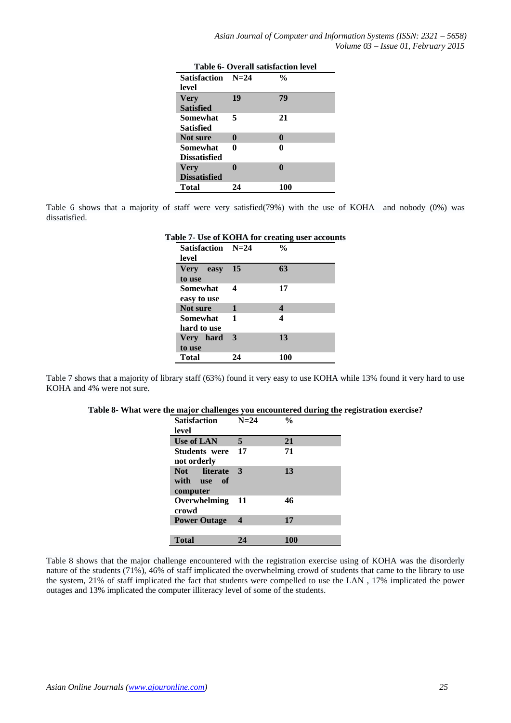| <b>Table 6- Overall satisfaction level</b> |              |               |
|--------------------------------------------|--------------|---------------|
| Satisfaction N=24                          |              | $\frac{0}{0}$ |
| level                                      |              |               |
| <b>Very</b>                                | 19           | 79            |
| <b>Satisfied</b>                           |              |               |
| <b>Somewhat</b>                            | 5            | 21            |
| Satisfied                                  |              |               |
| Not sure                                   | $\mathbf{0}$ | $\bf{0}$      |
| Somewhat                                   | 0            | 0             |
| <b>Dissatisfied</b>                        |              |               |
| <b>Very</b>                                |              |               |
| <b>Dissatisfied</b>                        |              |               |
| Total                                      | 24           | 100           |

Table 6 shows that a majority of staff were very satisfied(79%) with the use of KOHA and nobody (0%) was dissatisfied.

|                   |    | l'able 7- Use of KOHA for creating user account: |
|-------------------|----|--------------------------------------------------|
| Satisfaction N=24 |    | $\frac{0}{0}$                                    |
| level             |    |                                                  |
| Very easy         | 15 | 63                                               |
| to use            |    |                                                  |
| Somewhat          | 4  | 17                                               |
| easy to use       |    |                                                  |
| Not sure          | 1  | 4                                                |
| Somewhat 1        |    | 4                                                |
| hard to use       |    |                                                  |
| Very hard         | 3  | 13                                               |
| to use            |    |                                                  |
| <b>Total</b>      | 24 | 100                                              |

**Table 7- Use of KOHA for creating user accounts**

Table 7 shows that a majority of library staff (63%) found it very easy to use KOHA while 13% found it very hard to use KOHA and 4% were not sure.

|  | Table 8- What were the major challenges you encountered during the registration exercise? |  |
|--|-------------------------------------------------------------------------------------------|--|
|  |                                                                                           |  |

| <b>Satisfaction</b><br>level            | $N=24$ | $\frac{0}{0}$ |
|-----------------------------------------|--------|---------------|
| Use of LAN                              | 5      | 21            |
| <b>Students</b> were<br>not orderly     | 17     | 71            |
| Not literate<br>with use of<br>computer | 3      | 13            |
| Overwhelming<br>crowd                   | 11     | 46            |
| <b>Power Outage</b>                     | 4      | 17            |
| <b>Total</b>                            | 24     | 100           |

Table 8 shows that the major challenge encountered with the registration exercise using of KOHA was the disorderly nature of the students (71%), 46% of staff implicated the overwhelming crowd of students that came to the library to use the system, 21% of staff implicated the fact that students were compelled to use the LAN , 17% implicated the power outages and 13% implicated the computer illiteracy level of some of the students.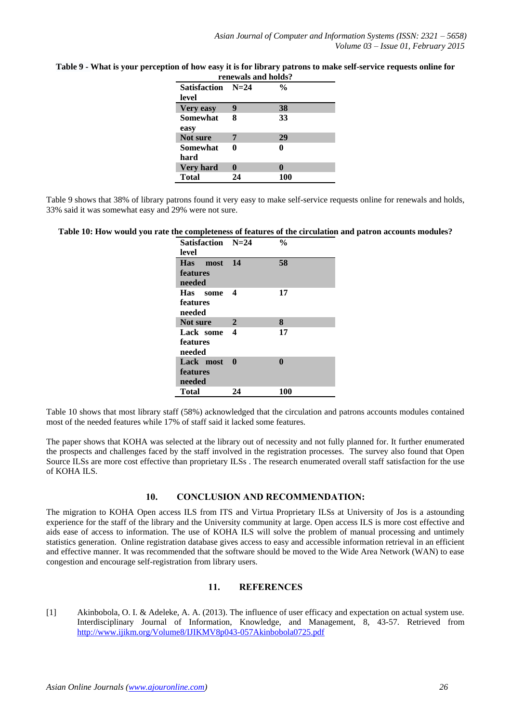|                                   | renewals and holds? |               |  |
|-----------------------------------|---------------------|---------------|--|
| <b>Satisfaction</b> N=24<br>level |                     | $\frac{0}{0}$ |  |
| <b>Very easy</b>                  | 9                   | 38            |  |
| Somewhat<br>easy                  | 8                   | 33            |  |
| Not sure                          | 7                   | 29            |  |
| <b>Somewhat</b><br>hard           | 0                   | 0             |  |
| <b>Very hard</b>                  |                     |               |  |
| <b>Total</b>                      | 24                  | 100           |  |

# **Table 9 - What is your perception of how easy it is for library patrons to make self-service requests online for**

Table 9 shows that 38% of library patrons found it very easy to make self-service requests online for renewals and holds, 33% said it was somewhat easy and 29% were not sure.

#### **Table 10: How would you rate the completeness of features of the circulation and patron accounts modules?**

| Satisfaction N=24 |              | $\frac{0}{0}$ |
|-------------------|--------------|---------------|
| level             |              |               |
| Has most          | 14           | 58            |
| features          |              |               |
| needed            |              |               |
| Has some          | 4            | 17            |
| features          |              |               |
| needed            |              |               |
| Not sure          | $\mathbf{2}$ | 8             |
| Lack some         | 4            | 17            |
| features          |              |               |
| needed            |              |               |
| Lack most         | $\mathbf{0}$ | 0             |
| <b>features</b>   |              |               |
| needed            |              |               |
| <b>Total</b>      | 24           | 100           |

Table 10 shows that most library staff (58%) acknowledged that the circulation and patrons accounts modules contained most of the needed features while 17% of staff said it lacked some features.

The paper shows that KOHA was selected at the library out of necessity and not fully planned for. It further enumerated the prospects and challenges faced by the staff involved in the registration processes. The survey also found that Open Source ILSs are more cost effective than proprietary ILSs . The research enumerated overall staff satisfaction for the use of KOHA ILS.

#### **10. CONCLUSION AND RECOMMENDATION:**

The migration to KOHA Open access ILS from ITS and Virtua Proprietary ILSs at University of Jos is a astounding experience for the staff of the library and the University community at large. Open access ILS is more cost effective and aids ease of access to information. The use of KOHA ILS will solve the problem of manual processing and untimely statistics generation. Online registration database gives access to easy and accessible information retrieval in an efficient and effective manner. It was recommended that the software should be moved to the Wide Area Network (WAN) to ease congestion and encourage self-registration from library users.

# **11. REFERENCES**

[1] Akinbobola, O. I. & Adeleke, A. A. (2013). The influence of user efficacy and expectation on actual system use. Interdisciplinary Journal of Information, Knowledge, and Management, 8, 43-57. Retrieved from <http://www.ijikm.org/Volume8/IJIKMV8p043-057Akinbobola0725.pdf>